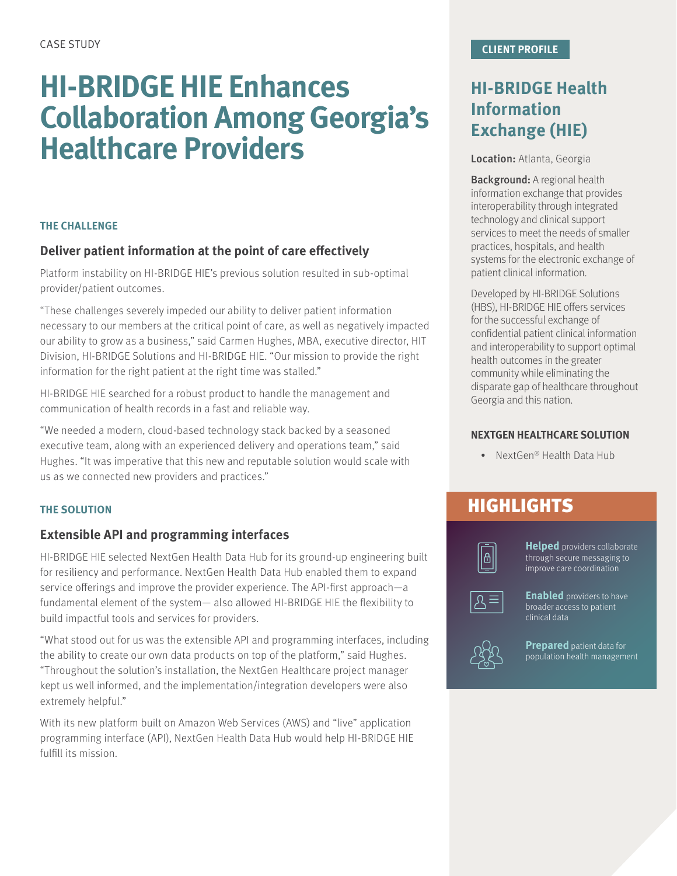# **HI-BRIDGE HIE Enhances Collaboration Among Georgia's Healthcare Providers**

### **THE CHALLENGE**

### **Deliver patient information at the point of care effectively**

Platform instability on HI-BRIDGE HIE's previous solution resulted in sub-optimal provider/patient outcomes.

"These challenges severely impeded our ability to deliver patient information necessary to our members at the critical point of care, as well as negatively impacted our ability to grow as a business," said Carmen Hughes, MBA, executive director, HIT Division, HI-BRIDGE Solutions and HI-BRIDGE HIE. "Our mission to provide the right information for the right patient at the right time was stalled."

HI-BRIDGE HIE searched for a robust product to handle the management and communication of health records in a fast and reliable way.

"We needed a modern, cloud-based technology stack backed by a seasoned executive team, along with an experienced delivery and operations team," said Hughes. "It was imperative that this new and reputable solution would scale with us as we connected new providers and practices."

#### **THE SOLUTION**

### **Extensible API and programming interfaces**

HI-BRIDGE HIE selected NextGen Health Data Hub for its ground-up engineering built for resiliency and performance. NextGen Health Data Hub enabled them to expand service offerings and improve the provider experience. The API-first approach—a fundamental element of the system— also allowed HI-BRIDGE HIE the flexibility to build impactful tools and services for providers.

"What stood out for us was the extensible API and programming interfaces, including the ability to create our own data products on top of the platform," said Hughes. "Throughout the solution's installation, the NextGen Healthcare project manager kept us well informed, and the implementation/integration developers were also extremely helpful."

With its new platform built on Amazon Web Services (AWS) and "live" application programming interface (API), NextGen Health Data Hub would help HI-BRIDGE HIE fulfill its mission.

## **HI-BRIDGE Health Information Exchange (HIE)**

Location: Atlanta, Georgia

Background: A regional health information exchange that provides interoperability through integrated technology and clinical support services to meet the needs of smaller practices, hospitals, and health systems for the electronic exchange of patient clinical information.

Developed by HI-BRIDGE Solutions (HBS), HI-BRIDGE HIE offers services for the successful exchange of confidential patient clinical information and interoperability to support optimal health outcomes in the greater community while eliminating the disparate gap of healthcare throughout Georgia and this nation.

### **NEXTGEN HEALTHCARE SOLUTION**

• NextGen® Health Data Hub

## **HIGHLIGHTS**



**Helped** providers collaborate through secure messaging to improve care coordination

**Enabled** providers to have broader access to patient clinical data



**Prepared** patient data for population health management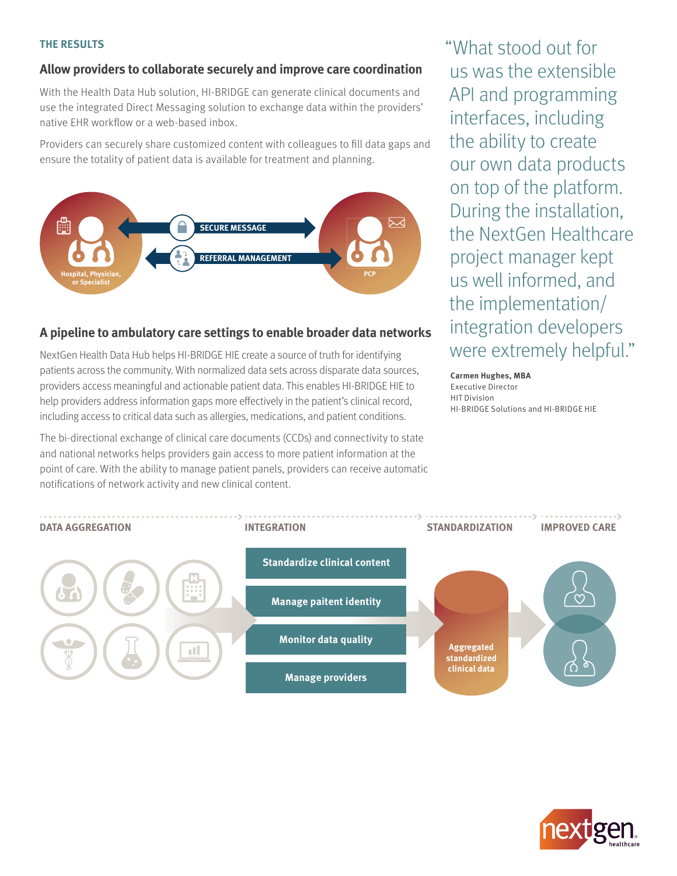#### **THE RESULTS**

### **Allow providers to collaborate securely and improve care coordination**

With the Health Data Hub solution, HI-BRIDGE can generate clinical documents and use the integrated Direct Messaging solution to exchange data within the providers' native EHR workflow or a web-based inbox.

Providers can securely share customized content with colleagues to fill data gaps and ensure the totality of patient data is available for treatment and planning.



### **A pipeline to ambulatory care settings to enable broader data networks**

NextGen Health Data Hub helps HI-BRIDGE HIE create a source of truth for identifying patients across the community. With normalized data sets across disparate data sources, providers access meaningful and actionable patient data. This enables HI-BRIDGE HIE to help providers address information gaps more effectively in the patient's clinical record, including access to critical data such as allergies, medications, and patient conditions.

The bi-directional exchange of clinical care documents (CCDs) and connectivity to state and national networks helps providers gain access to more patient information at the point of care. With the ability to manage patient panels, providers can receive automatic notifications of network activity and new clinical content.

"What stood out for us was the extensible API and programming interfaces, including the ability to create our own data products on top of the platform. During the installation, the NextGen Healthcare project manager kept us well informed, and the implementation/ integration developers were extremely helpful."

**Carmen Hughes, MBA** Executive Director HIT Division HI-BRIDGE Solutions and HI-BRIDGE HIE